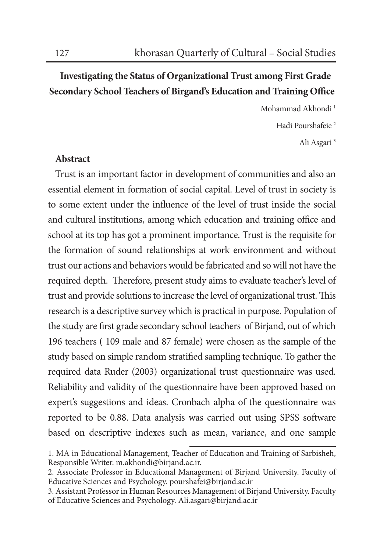## **Investigating the Status of Organizational Trust among First Grade Secondary School Teachers of Birgand's Education and Training Office**

Mohammad Akhondi 1 Hadi Pourshafeie<sup>2</sup> Ali Asgari 3

## **Abstract**

Trust is an important factor in development of communities and also an essential element in formation of social capital. Level of trust in society is to some extent under the influence of the level of trust inside the social and cultural institutions, among which education and training office and school at its top has got a prominent importance. Trust is the requisite for the formation of sound relationships at work environment and without trust our actions and behaviors would be fabricated and so will not have the required depth. Therefore, present study aims to evaluate teacher's level of trust and provide solutions to increase the level of organizational trust. This research is a descriptive survey which is practical in purpose. Population of the study are first grade secondary school teachers of Birjand, out of which 196 teachers ( 109 male and 87 female) were chosen as the sample of the study based on simple random stratified sampling technique. To gather the required data Ruder (2003) organizational trust questionnaire was used. Reliability and validity of the questionnaire have been approved based on expert's suggestions and ideas. Cronbach alpha of the questionnaire was reported to be 0.88. Data analysis was carried out using SPSS software based on descriptive indexes such as mean, variance, and one sample

<sup>1.</sup> MA in Educational Management, Teacher of Education and Training of Sarbisheh, Responsible Writer. m.akhondi@birjand.ac.ir.

<sup>2.</sup> Associate Professor in Educational Management of Birjand University. Faculty of Educative Sciences and Psychology. pourshafei@birjand.ac.ir

<sup>3.</sup> Assistant Professor in Human Resources Management of Birjand University. Faculty of Educative Sciences and Psychology. Ali.asgari@birjand.ac.ir